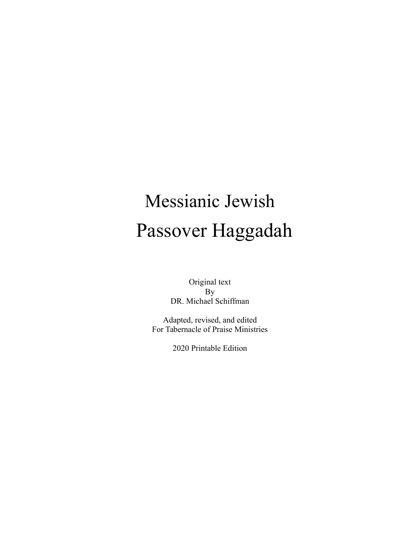# Messianic Jewish Passover Haggadah

Original text By DR. Michael Schiffman

Adapted, revised, and edited For Tabernacle of Praise Ministries

2020 Printable Edition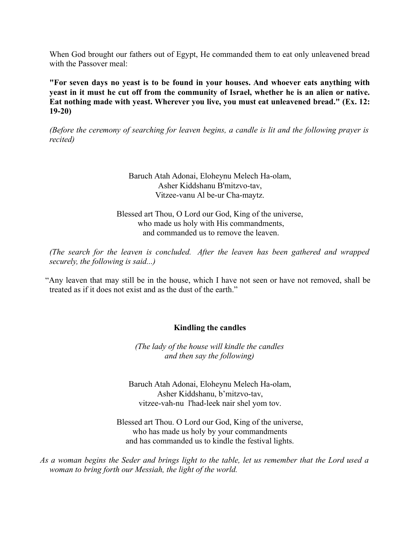When God brought our fathers out of Egypt, He commanded them to eat only unleavened bread with the Passover meal:

**"For seven days no yeast is to be found in your houses. And whoever eats anything with yeast in it must he cut off from the community of Israel, whether he is an alien or native. Eat nothing made with yeast. Wherever you live, you must eat unleavened bread." (Ex. 12: 19-20)**

*(Before the ceremony of searching for leaven begins, a candle is lit and the following prayer is recited)*

> Baruch Atah Adonai, Eloheynu Melech Ha-olam, Asher Kiddshanu B'mitzvo-tav, Vitzee-vanu Al be-ur Cha-maytz.

Blessed art Thou, O Lord our God, King of the universe, who made us holy with His commandments, and commanded us to remove the leaven.

*(The search for the leaven is concluded. After the leaven has been gathered and wrapped securely, the following is said...)*

"Any leaven that may still be in the house, which I have not seen or have not removed, shall be treated as if it does not exist and as the dust of the earth."

#### **Kindling the candles**

*(The lady of the house will kindle the candles and then say the following)*

Baruch Atah Adonai, Eloheynu Melech Ha-olam, Asher Kiddshanu, b'mitzvo-tav, vitzee-vah-nu l'had-leek nair shel yom tov.

Blessed art Thou. O Lord our God, King of the universe, who has made us holy by your commandments and has commanded us to kindle the festival lights.

*As a woman begins the Seder and brings light to the table, let us remember that the Lord used a woman to bring forth our Messiah, the light of the world.*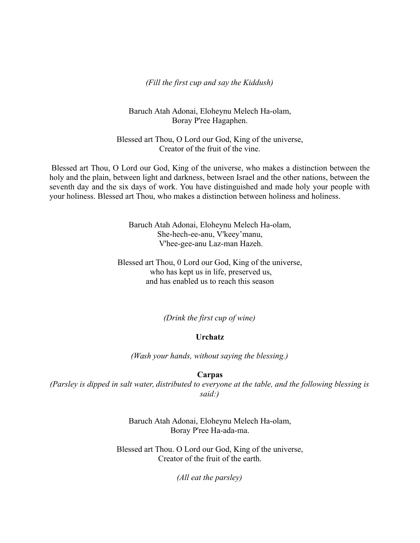#### *(Fill the first cup and say the Kiddush)*

#### Baruch Atah Adonai, Eloheynu Melech Ha-olam, Boray P'ree Hagaphen.

#### Blessed art Thou, O Lord our God, King of the universe, Creator of the fruit of the vine.

Blessed art Thou, O Lord our God, King of the universe, who makes a distinction between the holy and the plain, between light and darkness, between Israel and the other nations, between the seventh day and the six days of work. You have distinguished and made holy your people with your holiness. Blessed art Thou, who makes a distinction between holiness and holiness.

> Baruch Atah Adonai, Eloheynu Melech Ha-olam, She-hech-ee-anu, V'keey'manu, V'hee-gee-anu Laz-man Hazeh.

Blessed art Thou, 0 Lord our God, King of the universe, who has kept us in life, preserved us, and has enabled us to reach this season

*(Drink the first cup of wine)*

#### **Urchatz**

*(Wash your hands, without saying the blessing.)*

#### **Carpas**

*(Parsley is dipped in salt water, distributed to everyone at the table, and the following blessing is said:)*

> Baruch Atah Adonai, Eloheynu Melech Ha-olam, Boray P'ree Ha-ada-ma.

Blessed art Thou. O Lord our God, King of the universe, Creator of the fruit of the earth.

*(All eat the parsley)*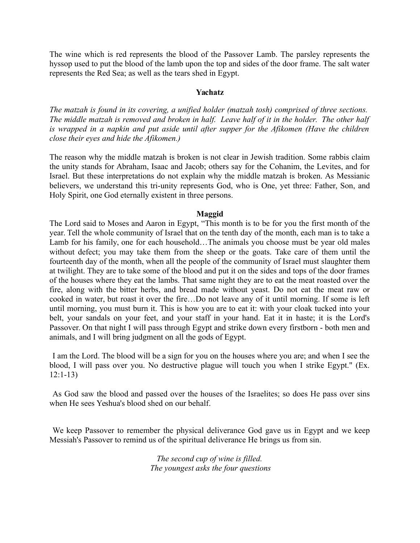The wine which is red represents the blood of the Passover Lamb. The parsley represents the hyssop used to put the blood of the lamb upon the top and sides of the door frame. The salt water represents the Red Sea; as well as the tears shed in Egypt.

#### **Yachatz**

*The matzah is found in its covering, a unified holder (matzah tosh) comprised of three sections. The middle matzah is removed and broken in half. Leave half of it in the holder. The other half is wrapped in a napkin and put aside until after supper for the Afikomen (Have the children close their eyes and hide the Afikomen.)*

The reason why the middle matzah is broken is not clear in Jewish tradition. Some rabbis claim the unity stands for Abraham, Isaac and Jacob; others say for the Cohanim, the Levites, and for Israel. But these interpretations do not explain why the middle matzah is broken. As Messianic believers, we understand this tri-unity represents God, who is One, yet three: Father, Son, and Holy Spirit, one God eternally existent in three persons.

#### **Maggid**

The Lord said to Moses and Aaron in Egypt, "This month is to be for you the first month of the year. Tell the whole community of Israel that on the tenth day of the month, each man is to take a Lamb for his family, one for each household…The animals you choose must be year old males without defect; you may take them from the sheep or the goats. Take care of them until the fourteenth day of the month, when all the people of the community of Israel must slaughter them at twilight. They are to take some of the blood and put it on the sides and tops of the door frames of the houses where they eat the lambs. That same night they are to eat the meat roasted over the fire, along with the bitter herbs, and bread made without yeast. Do not eat the meat raw or cooked in water, but roast it over the fire…Do not leave any of it until morning. If some is left until morning, you must burn it. This is how you are to eat it: with your cloak tucked into your belt, your sandals on your feet, and your staff in your hand. Eat it in haste; it is the Lord's Passover. On that night I will pass through Egypt and strike down every firstborn - both men and animals, and I will bring judgment on all the gods of Egypt.

I am the Lord. The blood will be a sign for you on the houses where you are; and when I see the blood, I will pass over you. No destructive plague will touch you when I strike Egypt." (Ex. 12:1-13)

As God saw the blood and passed over the houses of the Israelites; so does He pass over sins when He sees Yeshua's blood shed on our behalf.

We keep Passover to remember the physical deliverance God gave us in Egypt and we keep Messiah's Passover to remind us of the spiritual deliverance He brings us from sin.

> *The second cup of wine is filled. The youngest asks the four questions*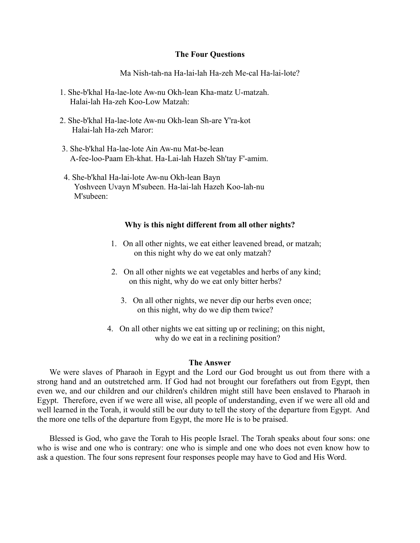#### **The Four Questions**

Ma Nish-tah-na Ha-lai-lah Ha-zeh Me-cal Ha-lai-lote?

- 1. She-b'khal Ha-lae-lote Aw-nu Okh-lean Kha-matz U-matzah. Halai-lah Ha-zeh Koo-Low Matzah:
- 2. She-b'khal Ha-lae-lote Aw-nu Okh-lean Sh-are Y'ra-kot Halai-lah Ha-zeh Maror:
- 3. She-b'khal Ha-lae-lote Ain Aw-nu Mat-be-lean A-fee-loo-Paam Eh-khat. Ha-Lai-lah Hazeh Sh'tay F'-amim.
- 4. She-b'khal Ha-lai-lote Aw-nu Okh-lean Bayn Yoshveen Uvayn M'subeen. Ha-lai-lah Hazeh Koo-lah-nu M'subeen:

#### **Why is this night different from all other nights?**

- 1. On all other nights, we eat either leavened bread, or matzah; on this night why do we eat only matzah?
- 2. On all other nights we eat vegetables and herbs of any kind; on this night, why do we eat only bitter herbs?
	- 3. On all other nights, we never dip our herbs even once; on this night, why do we dip them twice?
- 4. On all other nights we eat sitting up or reclining; on this night, why do we eat in a reclining position?

#### **The Answer**

We were slaves of Pharaoh in Egypt and the Lord our God brought us out from there with a strong hand and an outstretched arm. If God had not brought our forefathers out from Egypt, then even we, and our children and our children's children might still have been enslaved to Pharaoh in Egypt. Therefore, even if we were all wise, all people of understanding, even if we were all old and well learned in the Torah, it would still be our duty to tell the story of the departure from Egypt. And the more one tells of the departure from Egypt, the more He is to be praised.

Blessed is God, who gave the Torah to His people Israel. The Torah speaks about four sons: one who is wise and one who is contrary: one who is simple and one who does not even know how to ask a question. The four sons represent four responses people may have to God and His Word.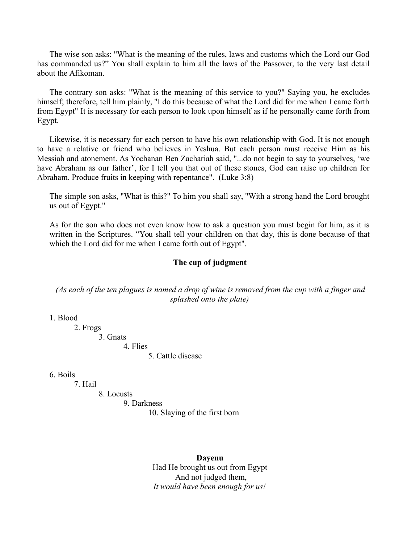The wise son asks: "What is the meaning of the rules, laws and customs which the Lord our God has commanded us?" You shall explain to him all the laws of the Passover, to the very last detail about the Afikoman.

The contrary son asks: "What is the meaning of this service to you?" Saying you, he excludes himself; therefore, tell him plainly, "I do this because of what the Lord did for me when I came forth from Egypt" It is necessary for each person to look upon himself as if he personally came forth from Egypt.

Likewise, it is necessary for each person to have his own relationship with God. It is not enough to have a relative or friend who believes in Yeshua. But each person must receive Him as his Messiah and atonement. As Yochanan Ben Zachariah said, "...do not begin to say to yourselves, 'we have Abraham as our father', for I tell you that out of these stones, God can raise up children for Abraham. Produce fruits in keeping with repentance". (Luke 3:8)

The simple son asks, "What is this?" To him you shall say, "With a strong hand the Lord brought us out of Egypt."

As for the son who does not even know how to ask a question you must begin for him, as it is written in the Scriptures. "You shall tell your children on that day, this is done because of that which the Lord did for me when I came forth out of Egypt".

#### **The cup of judgment**

*(As each of the ten plagues is named a drop of wine is removed from the cup with a finger and splashed onto the plate)*

1. Blood

2. Frogs 3. Gnats

4. Flies

5. Cattle disease

6. Boils

7. Hail

8. Locusts

9. Darkness 10. Slaying of the first born

> **Dayenu** Had He brought us out from Egypt And not judged them, *It would have been enough for us!*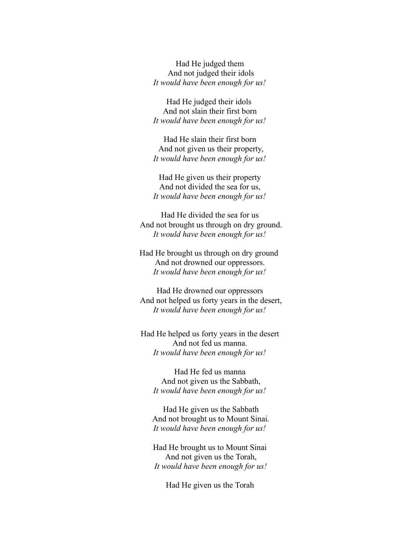Had He judged them And not judged their idols *It would have been enough for us!*

Had He judged their idols And not slain their first born *It would have been enough for us!*

Had He slain their first born And not given us their property, *It would have been enough for us!*

Had He given us their property And not divided the sea for us, *It would have been enough for us!*

Had He divided the sea for us And not brought us through on dry ground. *It would have been enough for us!*

Had He brought us through on dry ground And not drowned our oppressors. *It would have been enough for us!*

Had He drowned our oppressors And not helped us forty years in the desert, *It would have been enough for us!*

Had He helped us forty years in the desert And not fed us manna. *It would have been enough for us!*

Had He fed us manna And not given us the Sabbath, *It would have been enough for us!*

Had He given us the Sabbath And not brought us to Mount Sinai. *It would have been enough for us!*

Had He brought us to Mount Sinai And not given us the Torah, *It would have been enough for us!*

Had He given us the Torah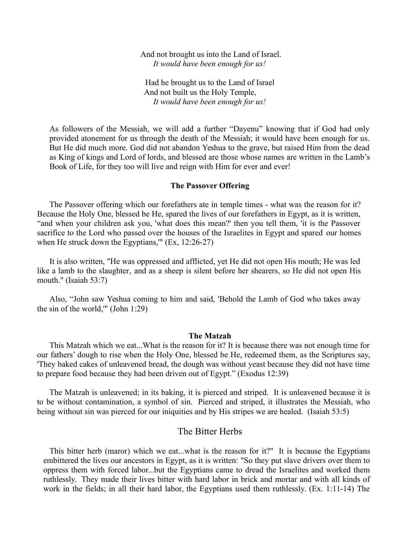And not brought us into the Land of Israel. *It would have been enough for us!*

Had he brought us to the Land of Israel And not built us the Holy Temple, *It would have been enough for us!*

As followers of the Messiah, we will add a further "Dayenu" knowing that if God had only provided atonement for us through the death of the Messiah; it would have been enough for us. But He did much more. God did not abandon Yeshua to the grave, but raised Him from the dead as King of kings and Lord of lords, and blessed are those whose names are written in the Lamb's Book of Life, for they too will live and reign with Him for ever and ever!

#### **The Passover Offering**

The Passover offering which our forefathers ate in temple times - what was the reason for it? Because the Holy One, blessed be He, spared the lives of our forefathers in Egypt, as it is written, "and when your children ask you, 'what does this mean?' then you tell them, 'it is the Passover sacrifice to the Lord who passed over the houses of the Israelites in Egypt and spared our homes when He struck down the Egyptians," (Ex, 12:26-27)

It is also written, "He was oppressed and afflicted, yet He did not open His mouth; He was led like a lamb to the slaughter, and as a sheep is silent before her shearers, so He did not open His mouth." (Isaiah 53:7)

Also, "John saw Yeshua coming to him and said, 'Behold the Lamb of God who takes away the sin of the world,'" (John 1:29)

#### **The Matzah**

This Matzah which we eat...What is the reason for it? It is because there was not enough time for our fathers' dough to rise when the Holy One, blessed be He, redeemed them, as the Scriptures say, 'They baked cakes of unleavened bread, the dough was without yeast because they did not have time to prepare food because they had been driven out of Egypt." (Exodus 12:39)

The Matzah is unleavened; in its baking, it is pierced and striped. It is unleavened because it is to be without contamination, a symbol of sin. Pierced and striped, it illustrates the Messiah, who being without sin was pierced for our iniquities and by His stripes we are healed. (Isaiah 53:5)

#### The Bitter Herbs

This bitter herb (maror) which we eat...what is the reason for it?" It is because the Egyptians embittered the lives our ancestors in Egypt, as it is written: "So they put slave drivers over them to oppress them with forced labor...but the Egyptians came to dread the Israelites and worked them ruthlessly. They made their lives bitter with hard labor in brick and mortar and with all kinds of work in the fields; in all their hard labor, the Egyptians used them ruthlessly. (Ex. 1:11-14) The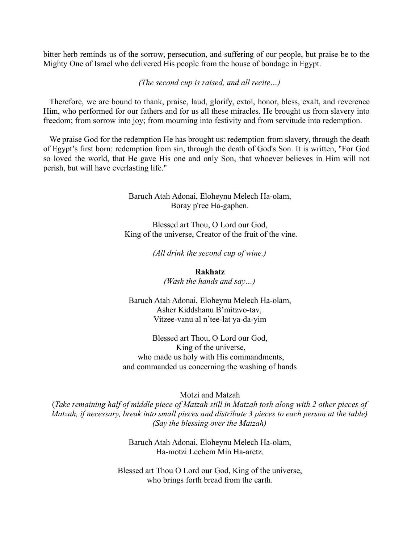bitter herb reminds us of the sorrow, persecution, and suffering of our people, but praise be to the Mighty One of Israel who delivered His people from the house of bondage in Egypt.

#### *(The second cup is raised, and all recite…)*

Therefore, we are bound to thank, praise, laud, glorify, extol, honor, bless, exalt, and reverence Him, who performed for our fathers and for us all these miracles. He brought us from slavery into freedom; from sorrow into joy; from mourning into festivity and from servitude into redemption.

We praise God for the redemption He has brought us: redemption from slavery, through the death of Egypt's first born: redemption from sin, through the death of God's Son. It is written, "For God so loved the world, that He gave His one and only Son, that whoever believes in Him will not perish, but will have everlasting life."

#### Baruch Atah Adonai, Eloheynu Melech Ha-olam, Boray p'ree Ha-gaphen.

Blessed art Thou, O Lord our God, King of the universe, Creator of the fruit of the vine.

*(All drink the second cup of wine.)*

#### **Rakhatz**

*(Wash the hands and say…)*

Baruch Atah Adonai, Eloheynu Melech Ha-olam, Asher Kiddshanu B'mitzvo-tav, Vitzee-vanu al n'tee-lat ya-da-yim

Blessed art Thou, O Lord our God, King of the universe, who made us holy with His commandments, and commanded us concerning the washing of hands

Motzi and Matzah

(*Take remaining half of middle piece of Matzah still in Matzah tosh along with 2 other pieces of Matzah, if necessary, break into small pieces and distribute 3 pieces to each person at the table) (Say the blessing over the Matzah)*

> Baruch Atah Adonai, Eloheynu Melech Ha-olam, Ha-motzi Lechem Min Ha-aretz.

Blessed art Thou O Lord our God, King of the universe, who brings forth bread from the earth.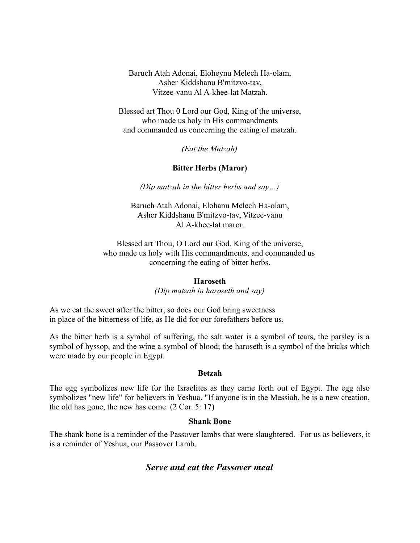Baruch Atah Adonai, Eloheynu Melech Ha-olam, Asher Kiddshanu B'mitzvo-tav, Vitzee-vanu Al A-khee-lat Matzah.

Blessed art Thou 0 Lord our God, King of the universe, who made us holy in His commandments and commanded us concerning the eating of matzah.

*(Eat the Matzah)*

#### **Bitter Herbs (Maror)**

*(Dip matzah in the bitter herbs and say…)*

Baruch Atah Adonai, Elohanu Melech Ha-olam, Asher Kiddshanu B'mitzvo-tav, Vitzee-vanu Al A-khee-lat maror.

Blessed art Thou, O Lord our God, King of the universe, who made us holy with His commandments, and commanded us concerning the eating of bitter herbs.

#### **Haroseth**

*(Dip matzah in haroseth and say)*

As we eat the sweet after the bitter, so does our God bring sweetness in place of the bitterness of life, as He did for our forefathers before us.

As the bitter herb is a symbol of suffering, the salt water is a symbol of tears, the parsley is a symbol of hyssop, and the wine a symbol of blood; the haroseth is a symbol of the bricks which were made by our people in Egypt.

#### **Betzah**

The egg symbolizes new life for the Israelites as they came forth out of Egypt. The egg also symbolizes "new life" for believers in Yeshua. "If anyone is in the Messiah, he is a new creation, the old has gone, the new has come. (2 Cor. 5: 17)

#### **Shank Bone**

The shank bone is a reminder of the Passover lambs that were slaughtered. For us as believers, it is a reminder of Yeshua, our Passover Lamb.

### *Serve and eat the Passover meal*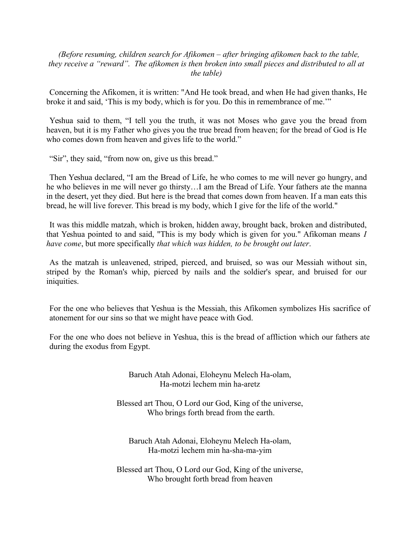#### *(Before resuming, children search for Afikomen – after bringing afikomen back to the table, they receive a "reward". The afikomen is then broken into small pieces and distributed to all at the table)*

Concerning the Afikomen, it is written: "And He took bread, and when He had given thanks, He broke it and said, 'This is my body, which is for you. Do this in remembrance of me.'"

Yeshua said to them, "I tell you the truth, it was not Moses who gave you the bread from heaven, but it is my Father who gives you the true bread from heaven; for the bread of God is He who comes down from heaven and gives life to the world."

"Sir", they said, "from now on, give us this bread."

Then Yeshua declared, "I am the Bread of Life, he who comes to me will never go hungry, and he who believes in me will never go thirsty…I am the Bread of Life. Your fathers ate the manna in the desert, yet they died. But here is the bread that comes down from heaven. If a man eats this bread, he will live forever. This bread is my body, which I give for the life of the world."

It was this middle matzah, which is broken, hidden away, brought back, broken and distributed, that Yeshua pointed to and said, "This is my body which is given for you." Afikoman means *I have come*, but more specifically *that which was hidden, to be brought out later*.

As the matzah is unleavened, striped, pierced, and bruised, so was our Messiah without sin, striped by the Roman's whip, pierced by nails and the soldier's spear, and bruised for our iniquities.

For the one who believes that Yeshua is the Messiah, this Afikomen symbolizes His sacrifice of atonement for our sins so that we might have peace with God.

For the one who does not believe in Yeshua, this is the bread of affliction which our fathers ate during the exodus from Egypt.

> Baruch Atah Adonai, Eloheynu Melech Ha-olam, Ha-motzi lechem min ha-aretz

Blessed art Thou, O Lord our God, King of the universe, Who brings forth bread from the earth.

Baruch Atah Adonai, Eloheynu Melech Ha-olam, Ha-motzi lechem min ha-sha-ma-yim

Blessed art Thou, O Lord our God, King of the universe, Who brought forth bread from heaven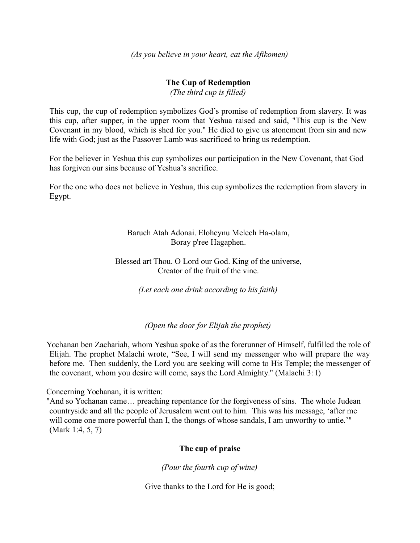*(As you believe in your heart, eat the Afikomen)*

# **The Cup of Redemption**

*(The third cup is filled)*

This cup, the cup of redemption symbolizes God's promise of redemption from slavery. It was this cup, after supper, in the upper room that Yeshua raised and said, "This cup is the New Covenant in my blood, which is shed for you." He died to give us atonement from sin and new life with God; just as the Passover Lamb was sacrificed to bring us redemption.

For the believer in Yeshua this cup symbolizes our participation in the New Covenant, that God has forgiven our sins because of Yeshua's sacrifice.

For the one who does not believe in Yeshua, this cup symbolizes the redemption from slavery in Egypt.

> Baruch Atah Adonai. Eloheynu Melech Ha-olam, Boray p'ree Hagaphen.

Blessed art Thou. O Lord our God. King of the universe, Creator of the fruit of the vine.

*(Let each one drink according to his faith)*

*(Open the door for Elijah the prophet)*

Yochanan ben Zachariah, whom Yeshua spoke of as the forerunner of Himself, fulfilled the role of Elijah. The prophet Malachi wrote, "See, I will send my messenger who will prepare the way before me. Then suddenly, the Lord you are seeking will come to His Temple; the messenger of the covenant, whom you desire will come, says the Lord Almighty." (Malachi 3: I)

Concerning Yochanan, it is written:

"And so Yochanan came… preaching repentance for the forgiveness of sins. The whole Judean countryside and all the people of Jerusalem went out to him. This was his message, 'after me will come one more powerful than I, the thongs of whose sandals, I am unworthy to untie.'" (Mark 1:4, 5, 7)

## **The cup of praise**

*(Pour the fourth cup of wine)*

Give thanks to the Lord for He is good;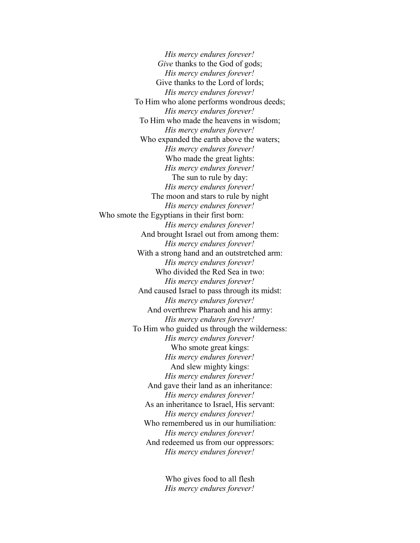*His mercy endures forever! Give* thanks to the God of gods; *His mercy endures forever!* Give thanks to the Lord of lords; *His mercy endures forever!* To Him who alone performs wondrous deeds; *His mercy endures forever!* To Him who made the heavens in wisdom; *His mercy endures forever!* Who expanded the earth above the waters; *His mercy endures forever!* Who made the great lights: *His mercy endures forever!* The sun to rule by day: *His mercy endures forever!* The moon and stars to rule by night *His mercy endures forever!* Who smote the Egyptians in their first born: *His mercy endures forever!* And brought Israel out from among them: *His mercy endures forever!* With a strong hand and an outstretched arm: *His mercy endures forever!* Who divided the Red Sea in two: *His mercy endures forever!* And caused Israel to pass through its midst: *His mercy endures forever!* And overthrew Pharaoh and his army: *His mercy endures forever!* To Him who guided us through the wilderness: *His mercy endures forever!* Who smote great kings: *His mercy endures forever!* And slew mighty kings: *His mercy endures forever!* And gave their land as an inheritance: *His mercy endures forever!* As an inheritance to Israel, His servant: *His mercy endures forever!* Who remembered us in our humiliation: *His mercy endures forever!* And redeemed us from our oppressors: *His mercy endures forever!*

> Who gives food to all flesh *His mercy endures forever!*